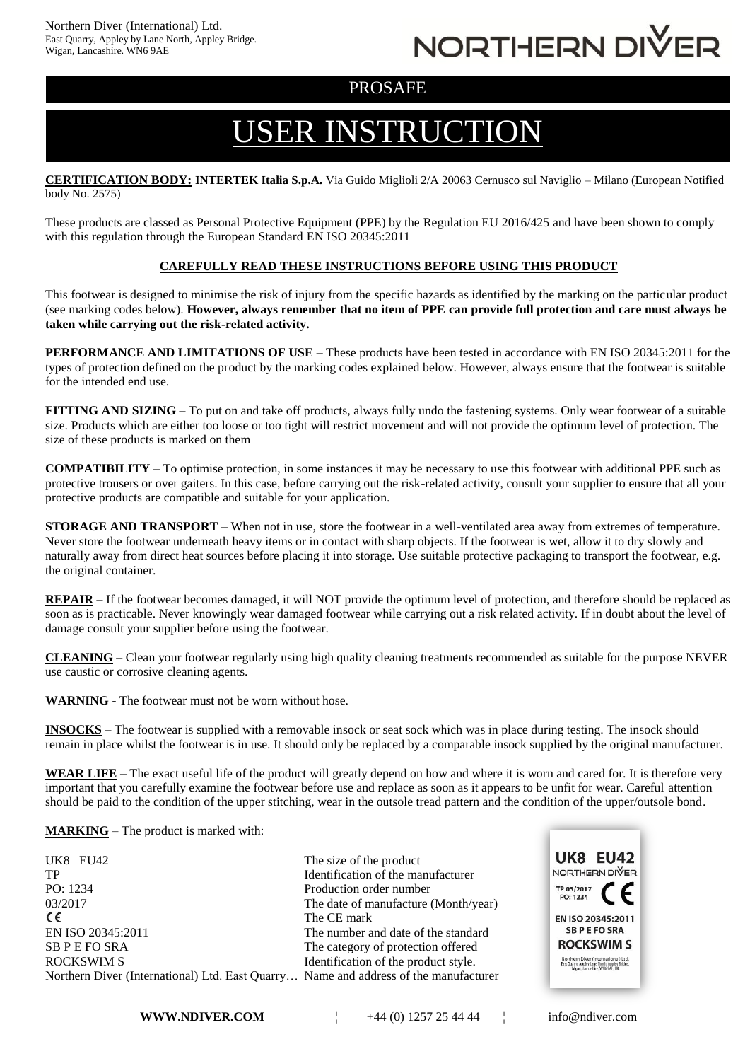# NORTHERN DIVER

### PROSAFE

## USER INSTRUCTION

**CERTIFICATION BODY: INTERTEK Italia S.p.A.** Via Guido Miglioli 2/A 20063 Cernusco sul Naviglio – Milano (European Notified body No. 2575)

These products are classed as Personal Protective Equipment (PPE) by the Regulation EU 2016/425 and have been shown to comply with this regulation through the European Standard EN ISO 20345:2011

#### **CAREFULLY READ THESE INSTRUCTIONS BEFORE USING THIS PRODUCT**

This footwear is designed to minimise the risk of injury from the specific hazards as identified by the marking on the particular product (see marking codes below). **However, always remember that no item of PPE can provide full protection and care must always be taken while carrying out the risk-related activity.** 

**PERFORMANCE AND LIMITATIONS OF USE** – These products have been tested in accordance with EN ISO 20345:2011 for the types of protection defined on the product by the marking codes explained below. However, always ensure that the footwear is suitable for the intended end use.

**FITTING AND SIZING** – To put on and take off products, always fully undo the fastening systems. Only wear footwear of a suitable size. Products which are either too loose or too tight will restrict movement and will not provide the optimum level of protection. The size of these products is marked on them

**COMPATIBILITY** – To optimise protection, in some instances it may be necessary to use this footwear with additional PPE such as protective trousers or over gaiters. In this case, before carrying out the risk-related activity, consult your supplier to ensure that all your protective products are compatible and suitable for your application.

**STORAGE AND TRANSPORT** – When not in use, store the footwear in a well-ventilated area away from extremes of temperature. Never store the footwear underneath heavy items or in contact with sharp objects. If the footwear is wet, allow it to dry slowly and naturally away from direct heat sources before placing it into storage. Use suitable protective packaging to transport the footwear, e.g. the original container.

**REPAIR** – If the footwear becomes damaged, it will NOT provide the optimum level of protection, and therefore should be replaced as soon as is practicable. Never knowingly wear damaged footwear while carrying out a risk related activity. If in doubt about the level of damage consult your supplier before using the footwear.

**CLEANING** – Clean your footwear regularly using high quality cleaning treatments recommended as suitable for the purpose NEVER use caustic or corrosive cleaning agents.

**WARNING** - The footwear must not be worn without hose.

**INSOCKS** – The footwear is supplied with a removable insock or seat sock which was in place during testing. The insock should remain in place whilst the footwear is in use. It should only be replaced by a comparable insock supplied by the original manufacturer.

**WEAR LIFE** – The exact useful life of the product will greatly depend on how and where it is worn and cared for. It is therefore very important that you carefully examine the footwear before use and replace as soon as it appears to be unfit for wear. Careful attention should be paid to the condition of the upper stitching, wear in the outsole tread pattern and the condition of the upper/outsole bond.

**MARKING** – The product is marked with:

UK8 EU42 The size of the product TP Identification of the manufacturer PO: 1234 Production order number 03/2017 The date of manufacture (Month/year)  $\epsilon$ The CE mark EN ISO 20345:2011 The number and date of the standard SB P E FO SRA The category of protection offered ROCKSWIM S Identification of the product style. Northern Diver (International) Ltd. East Quarry… Name and address of the manufacturer



**WWW.NDIVER.COM**  $+44(0)$  1257 25 44 44  $\cdots$  info@ndiver.com